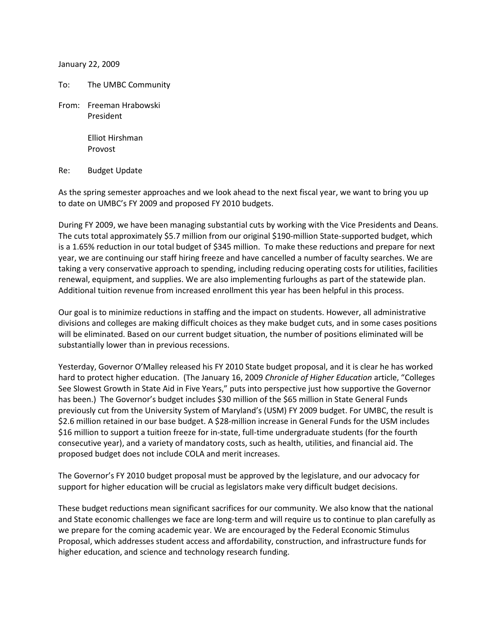January 22, 2009

To: The UMBC Community

From: Freeman Hrabowski President

> Elliot Hirshman Provost

Re: Budget Update

As the spring semester approaches and we look ahead to the next fiscal year, we want to bring you up to date on UMBC's FY 2009 and proposed FY 2010 budgets.

During FY 2009, we have been managing substantial cuts by working with the Vice Presidents and Deans. The cuts total approximately \$5.7 million from our original \$190-million State-supported budget, which is a 1.65% reduction in our total budget of \$345 million. To make these reductions and prepare for next year, we are continuing our staff hiring freeze and have cancelled a number of faculty searches. We are taking a very conservative approach to spending, including reducing operating costs for utilities, facilities renewal, equipment, and supplies. We are also implementing furloughs as part of the statewide plan. Additional tuition revenue from increased enrollment this year has been helpful in this process.

Our goal is to minimize reductions in staffing and the impact on students. However, all administrative divisions and colleges are making difficult choices as they make budget cuts, and in some cases positions will be eliminated. Based on our current budget situation, the number of positions eliminated will be substantially lower than in previous recessions.

Yesterday, Governor O'Malley released his FY 2010 State budget proposal, and it is clear he has worked hard to protect higher education. (The January 16, 2009 *Chronicle of Higher Education* article, "Colleges See Slowest Growth in State Aid in Five Years," puts into perspective just how supportive the Governor has been.) The Governor's budget includes \$30 million of the \$65 million in State General Funds previously cut from the University System of Maryland's (USM) FY 2009 budget. For UMBC, the result is \$2.6 million retained in our base budget. A \$28-million increase in General Funds for the USM includes \$16 million to support a tuition freeze for in-state, full-time undergraduate students (for the fourth consecutive year), and a variety of mandatory costs, such as health, utilities, and financial aid. The proposed budget does not include COLA and merit increases.

The Governor's FY 2010 budget proposal must be approved by the legislature, and our advocacy for support for higher education will be crucial as legislators make very difficult budget decisions.

These budget reductions mean significant sacrifices for our community. We also know that the national and State economic challenges we face are long-term and will require us to continue to plan carefully as we prepare for the coming academic year. We are encouraged by the Federal Economic Stimulus Proposal, which addresses student access and affordability, construction, and infrastructure funds for higher education, and science and technology research funding.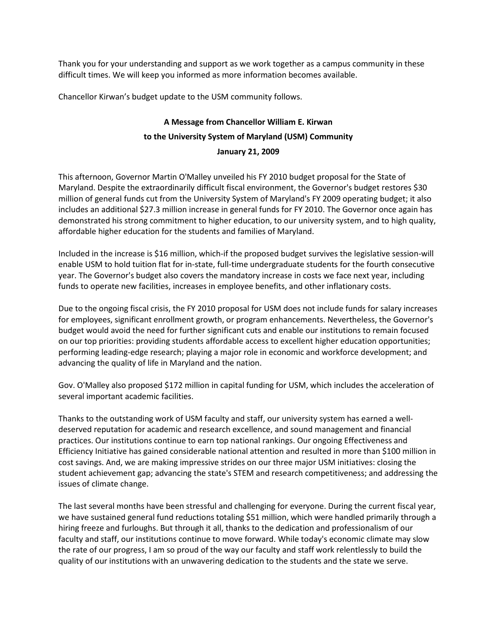Thank you for your understanding and support as we work together as a campus community in these difficult times. We will keep you informed as more information becomes available.

Chancellor Kirwan's budget update to the USM community follows.

## **A Message from Chancellor William E. Kirwan to the University System of Maryland (USM) Community January 21, 2009**

This afternoon, Governor Martin O'Malley unveiled his FY 2010 budget proposal for the State of Maryland. Despite the extraordinarily difficult fiscal environment, the Governor's budget restores \$30 million of general funds cut from the University System of Maryland's FY 2009 operating budget; it also includes an additional \$27.3 million increase in general funds for FY 2010. The Governor once again has demonstrated his strong commitment to higher education, to our university system, and to high quality, affordable higher education for the students and families of Maryland.

Included in the increase is \$16 million, which-if the proposed budget survives the legislative session-will enable USM to hold tuition flat for in-state, full-time undergraduate students for the fourth consecutive year. The Governor's budget also covers the mandatory increase in costs we face next year, including funds to operate new facilities, increases in employee benefits, and other inflationary costs.

Due to the ongoing fiscal crisis, the FY 2010 proposal for USM does not include funds for salary increases for employees, significant enrollment growth, or program enhancements. Nevertheless, the Governor's budget would avoid the need for further significant cuts and enable our institutions to remain focused on our top priorities: providing students affordable access to excellent higher education opportunities; performing leading-edge research; playing a major role in economic and workforce development; and advancing the quality of life in Maryland and the nation.

Gov. O'Malley also proposed \$172 million in capital funding for USM, which includes the acceleration of several important academic facilities.

Thanks to the outstanding work of USM faculty and staff, our university system has earned a welldeserved reputation for academic and research excellence, and sound management and financial practices. Our institutions continue to earn top national rankings. Our ongoing Effectiveness and Efficiency Initiative has gained considerable national attention and resulted in more than \$100 million in cost savings. And, we are making impressive strides on our three major USM initiatives: closing the student achievement gap; advancing the state's STEM and research competitiveness; and addressing the issues of climate change.

The last several months have been stressful and challenging for everyone. During the current fiscal year, we have sustained general fund reductions totaling \$51 million, which were handled primarily through a hiring freeze and furloughs. But through it all, thanks to the dedication and professionalism of our faculty and staff, our institutions continue to move forward. While today's economic climate may slow the rate of our progress, I am so proud of the way our faculty and staff work relentlessly to build the quality of our institutions with an unwavering dedication to the students and the state we serve.